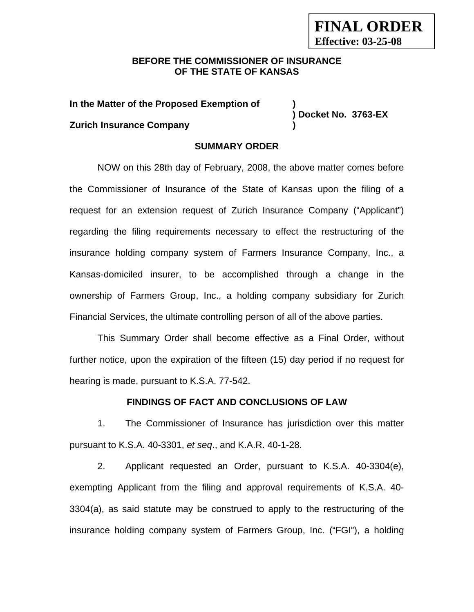## **BEFORE THE COMMISSIONER OF INSURANCE OF THE STATE OF KANSAS**

**In the Matter of the Proposed Exemption of )** 

**Zurich Insurance Company )** 

**) Docket No. 3763-EX** 

## **SUMMARY ORDER**

NOW on this 28th day of February, 2008, the above matter comes before the Commissioner of Insurance of the State of Kansas upon the filing of a request for an extension request of Zurich Insurance Company ("Applicant") regarding the filing requirements necessary to effect the restructuring of the insurance holding company system of Farmers Insurance Company, Inc., a Kansas-domiciled insurer, to be accomplished through a change in the ownership of Farmers Group, Inc., a holding company subsidiary for Zurich Financial Services, the ultimate controlling person of all of the above parties.

This Summary Order shall become effective as a Final Order, without further notice, upon the expiration of the fifteen (15) day period if no request for hearing is made, pursuant to K.S.A. 77-542.

### **FINDINGS OF FACT AND CONCLUSIONS OF LAW**

1. The Commissioner of Insurance has jurisdiction over this matter pursuant to K.S.A. 40-3301, *et seq*., and K.A.R. 40-1-28.

2. Applicant requested an Order, pursuant to K.S.A. 40-3304(e), exempting Applicant from the filing and approval requirements of K.S.A. 40- 3304(a), as said statute may be construed to apply to the restructuring of the insurance holding company system of Farmers Group, Inc. ("FGI"), a holding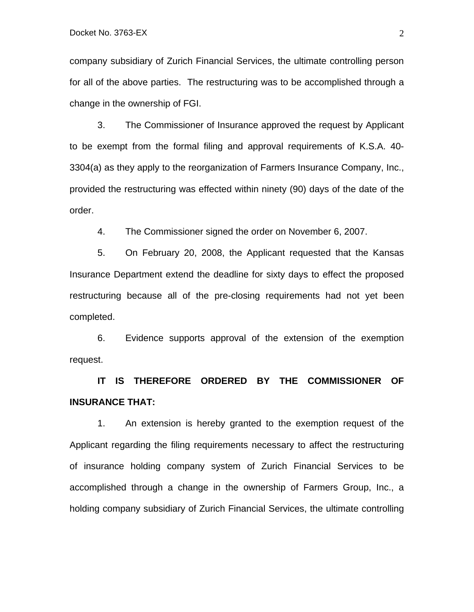company subsidiary of Zurich Financial Services, the ultimate controlling person for all of the above parties. The restructuring was to be accomplished through a change in the ownership of FGI.

3. The Commissioner of Insurance approved the request by Applicant to be exempt from the formal filing and approval requirements of K.S.A. 40- 3304(a) as they apply to the reorganization of Farmers Insurance Company, Inc., provided the restructuring was effected within ninety (90) days of the date of the order.

4. The Commissioner signed the order on November 6, 2007.

5. On February 20, 2008, the Applicant requested that the Kansas Insurance Department extend the deadline for sixty days to effect the proposed restructuring because all of the pre-closing requirements had not yet been completed.

6. Evidence supports approval of the extension of the exemption request.

**IT IS THEREFORE ORDERED BY THE COMMISSIONER OF INSURANCE THAT:** 

1. An extension is hereby granted to the exemption request of the Applicant regarding the filing requirements necessary to affect the restructuring of insurance holding company system of Zurich Financial Services to be accomplished through a change in the ownership of Farmers Group, Inc., a holding company subsidiary of Zurich Financial Services, the ultimate controlling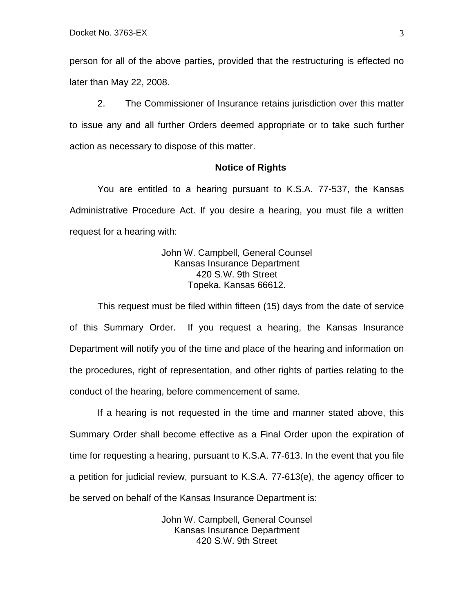person for all of the above parties, provided that the restructuring is effected no later than May 22, 2008.

2. The Commissioner of Insurance retains jurisdiction over this matter to issue any and all further Orders deemed appropriate or to take such further action as necessary to dispose of this matter.

#### **Notice of Rights**

You are entitled to a hearing pursuant to K.S.A. 77-537, the Kansas Administrative Procedure Act. If you desire a hearing, you must file a written request for a hearing with:

> John W. Campbell, General Counsel Kansas Insurance Department 420 S.W. 9th Street Topeka, Kansas 66612.

This request must be filed within fifteen (15) days from the date of service of this Summary Order. If you request a hearing, the Kansas Insurance Department will notify you of the time and place of the hearing and information on the procedures, right of representation, and other rights of parties relating to the conduct of the hearing, before commencement of same.

If a hearing is not requested in the time and manner stated above, this Summary Order shall become effective as a Final Order upon the expiration of time for requesting a hearing, pursuant to K.S.A. 77-613. In the event that you file a petition for judicial review, pursuant to K.S.A. 77-613(e), the agency officer to be served on behalf of the Kansas Insurance Department is:

> John W. Campbell, General Counsel Kansas Insurance Department 420 S.W. 9th Street